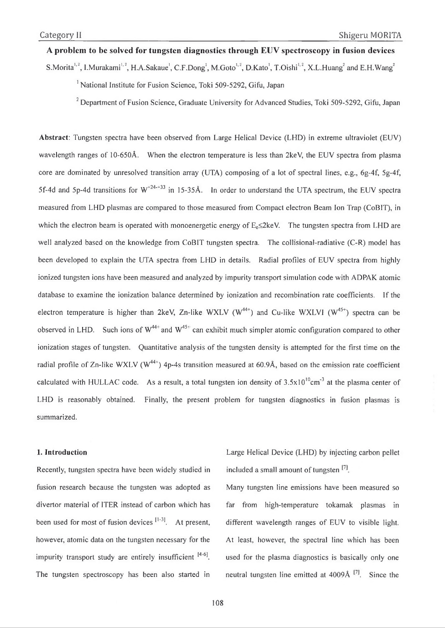# **A problem to be solved for tungsten diagnostics through EUV spectroscopy in fusion devices**

S.Morita<sup>1,2</sup>, I.Murakami<sup>1,2</sup>, H.A.Sakaue<sup>1</sup>, C.F.Dong<sup>1</sup>, M.Goto<sup>1,2</sup>, D.Kato<sup>1</sup>, T.Oishi<sup>1,2</sup>, X.L.Huang<sup>2</sup> and E.H.Wang<sup>2</sup>

<sup>1</sup> National Institute for Fusion Science, Toki 509-5292, Gifu, Japan

<sup>2</sup> Department of Fusion Science, Graduate University for Advanced Studies, Toki 509-5292, Gifu, Japan

**Abstract:** Tungsten spectra have been observed from Large Helical Device (LHD) in extreme ultraviolet (EUV) wavelength ranges of 10-650Å. When the electron temperature is less than 2keV, the EUV spectra from plasma core are dominated by unresolved transition array (UTA) composing of a lot of spectral lines, e.g., 6g-4f, 5g-4f, 5f-4d and 5p-4d transitions for  $W^{+24+33}$  in 15-35Å. In order to understand the UTA spectrum, the EUV spectra measured from LHD plasmas are compared to those measured from Compact electron Beam Ion Trap (CoBIT), in which the electron beam is operated with monoenergetic energy of  $E \le 2keV$ . The tungsten spectra from LHD are well analyzed based on the knowledge from CoBIT tungsten spectra. The collisional-radiative (C-R) model has been developed to explain the UTA spectra from LHD in details. Radial profiles of EUV spectra from highly ionized tungsten ions have been measured and analyzed by impurity transport simulation code with ADPAK atomic database to examine the ionization balance determined by ionization and recombination rate coefficients. If the electron temperature is higher than 2keV, Zn-like WXLV ( $W^{44+}$ ) and Cu-like WXLVI ( $W^{45+}$ ) spectra can be observed in LHD. Such ions of  $W^{44+}$  and  $W^{45+}$  can exhibit much simpler atomic configuration compared to other ionization stages of tungsten. Quantitative analysis of the tungsten density is attempted for the first time on the radial profile of Zn-like WXLV ( $W^{44+}$ ) 4p-4s transition measured at 60.9Å, based on the emission rate coefficient calculated with HULLAC code. As a result, a total tungsten ion density of  $3.5x10^{10}$ cm<sup>-3</sup> at the plasma center of LHD is reasonably obtained. Finally, the present problem for tungsten diagnostics in fusion plasmas is summarized.

## 1. Introduction

Recently, tungsten spectra have been widely studied in fusion research because the tungsten was adopted as divertor material of ITER instead of carbon which has been used for most of fusion devices  $[1-3]$ . At present, however, atomic data on the tungsten necessary for the impurity transport study are entirely insufficient  $[4-6]$ . The tungsten spectroscopy has been also started in

Large Helical Device (LHD) by injecting carbon pellet included a small amount of tungsten  $[7]$ .

Many tungsten line emissions have been measured so far from high-temperature tokamak plasmas in different wavelength ranges of EUV to visible light. At least, however, the spectral line which has been used for the plasma diagnostics is basically only one neutral tungsten line emitted at  $4009\text{\AA}$  <sup>[7]</sup>. Since the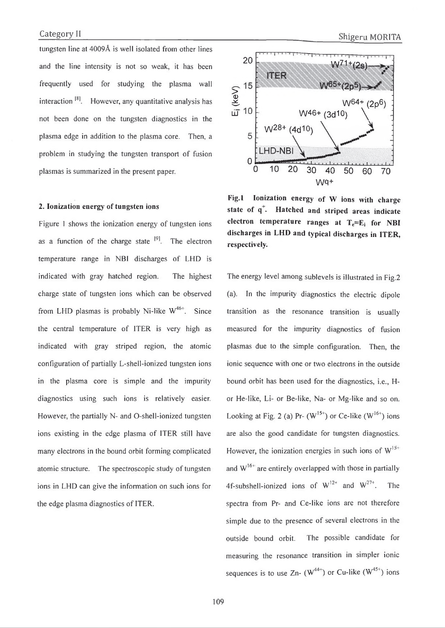tungsten line at 4009A is well isolated from other lines and the line intensity is not so weak, it has been frequently used for studying the plasma wall interaction  $\begin{bmatrix} 8 \end{bmatrix}$ . However, any quantitative analysis has not been done on the tungsten diagnostics in the plasma edge in addition to the plasma core. Then, a problem in studying the tungsten transport of fusion plasmas is summarized in the present paper.

#### **2. Ionization energy of tungsten ions**

Figure 1 shows the ionization energy of tungsten ions as a function of the charge state  $[9]$ . The electron temperature range in NBI discharges of LHD is indicated with gray hatched region. The highest charge state of tungsten ions which can be observed from LHD plasmas is probably Ni-like  $W^{46+}$ . Since the central temperature of ITER is very high as indicated with gray striped region, the atomic configuration of partially L-shell-ionized tungsten ions in the plasma core is simple and the impurity diagnostics using such ions is relatively easier. However, the partially N- and O-shell-ionized tungsten ions existing in the edge plasma of ITER still have many electrons in the bound orbit forming complicated atomic structure. The spectroscopic study of tungsten ions in LHD can give the information on such ions for the edge plasma diagnostics of ITER.



Fig.1 Ionization energy of W ions with charge state of q<sup>+</sup>. Hatched and striped areas indicate **electron temperature ranges at**  $T_e=E_i$  **for NBI discharges in LHD and typical discharges in ITER, respectively.**

The energy level among sublevels is illustrated in Fig.2 (a). In the impurity diagnostics the electric dipole transition as the resonance transition is usually measured for the impurity diagnostics of fusion plasmas due to the simple configuration. Then, the ionic sequence with one or two electrons in the outside bound orbit has been used for the diagnostics, i.e., Hor He-like, Li- or Be-like, Na- or Mg-like and so on. Looking at Fig. 2 (a) Pr-  $(W^{15+})$  or Ce-like  $(W^{16+})$  ions are also the good candidate for tungsten diagnostics. However, the ionization energies in such ions of  $W^{15+}$ and  $W^{16+}$  are entirely overlapped with those in partially 4f-subshell-ionized ions of  $W^{12+}$  and  $W^{27+}$ . The spectra from Pr- and Ce-like ions are not therefore simple due to the presence of several electrons in the outside bound orbit. The possible candidate for measuring the resonance transition in simpler ionic sequences is to use Zn-  $(W^{44+})$  or Cu-like  $(W^{45+})$  ions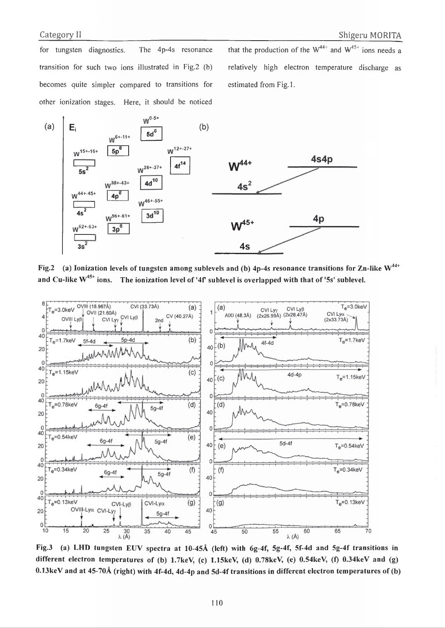for tungsten diagnostics. The 4p-4s resonance transition for such two ions illustrated in Fig.2 (b) becomes quite simpler compared to transitions for other ionization stages. Here, it should be noticed

that the production of the  $W^{44+}$  and  $W^{45+}$  ions needs a relatively high electron temperature discharge as estimated from Fig.1.



Fig.2 (a) Ionization levels of tungsten among sublevels and (b)  $4p-4s$  resonance transitions for Zn-like W<sup>44+</sup> and Cu-like  $W^{45+}$  ions. The ionization level of '4f' sublevel is overlapped with that of '5s' sublevel.



Fig.3 (a) LHD tungsten EUV spectra at 10-45Å (left) with 6g-4f, 5g-4f, 5f-4d and 5g-4f transitions in different electron temperatures of (b) 1.7keV, (c) 1.15keV, (d) 0.78keV, (e) 0.54keV, (f) 0.34keV and (g) 0.13keV and at 45-70Å (right) with 4f-4d, 4d-4p and 5d-4f transitions in different electron temperatures of (b)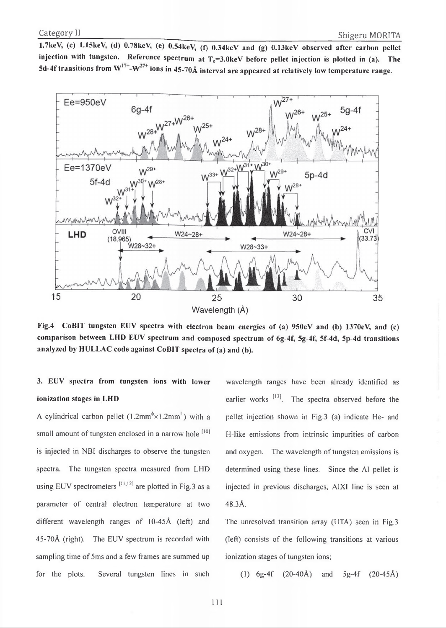1.7keV, (c) 1.15keV, (d) 0.78keV, (e) 0.54keV, (f) 0.34keV and (g) 0.13keV observed after carbon pellet injection with tungsten. Reference spectrum at  $T<sub>e</sub>=3.0$ keV before pellet injection is plotted in (a). The 5d-4f transitions from W<sup>17+</sup>-W<sup>27+</sup> ions in 45-70Å interval are appeared at relatively low temperature range.



**Fig.4 CoBIT tungsten EUV spectra with electron beam energies of (a) 950eV and (b)1370eV, and (c) comparison between LHD EUV spectrum and composed spectrum of 6g-4f, 5g-4f, 5f-4d, 5p-4d transitions analyzed by HULLAC code against CoBIT spectra of (a) and (b).**

# **3. EUV spectra from tungsten ions with lower ionization stages in LHD**

A cylindrical carbon pellet  $(1.2 \text{mm}^{\phi} \times 1.2 \text{mm}^{\text{L}})$  with a small amount of tungsten enclosed in a narrow hole [10] is injected in NBI discharges to observe the tungsten spectra. The tungsten spectra measured from LHD using EUV spectrometers  $[11,12]$  are plotted in Fig.3 as a parameter of central electron temperature at two different wavelength ranges of 10-45Å (left) and 45-70A (right). The EUV spectrum is recorded with sampling time of 5ms and a few frames are summed up for the plots. Several tungsten lines in such

wavelength ranges have been already identified as earlier works  $^{[13]}$ . The spectra observed before the pellet injection shown in Fig.3 (a) indicate He- and H-like emissions from intrinsic impurities of carbon and oxygen. The wavelength of tungsten emissions is determined using these lines. Since the A1 pellet is injected in previous discharges, A1XI line is seen at 48.3A.

The unresolved transition array (UTA) seen in Fig.3 (left) consists of the following transitions at various ionization stages of tungsten ions;

(1)  $6g-4f$  (20-40Å) and  $5g-4f$  (20-45Å)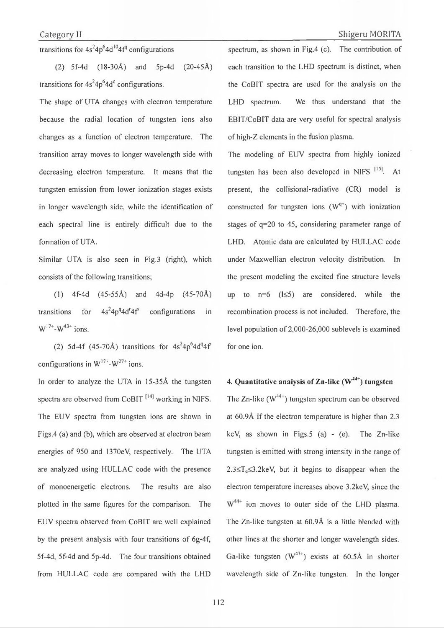transitions for  $4s^24p^64d^{10}4f^q$  configurations

(2) 5f-4d (18-30A) and 5p-4d (20-45A) transitions for  $4s^24p^64d^q$  configurations.

The shape of UTA changes with electron temperature because the radial location of tungsten ions also changes as a function of electron temperature. The transition array moves to longer wavelength side with decreasing electron temperature. It means that the tungsten emission from lower ionization stages exists in longer wavelength side, while the identification of each spectral line is entirely difficult due to the formation of UTA.

Similar UTA is also seen in Fig.3 (right), which consists of the following transitions;

( 1) 4f-4d (45-55A) and 4d-4p (45-70A) transitions for  $4s^24p^q4d^r4f^s$  configurations in  $W^{17+}-W^{43+}$  ions.

(2) 5d-4f (45-70Å) transitions for  $4s^24p^64d^q4f$ configurations in  $W^{17}$  -  $W^{27+}$  ions.

In order to analyze the UTA in 15-35Å the tungsten spectra are observed from CoBIT  $^{[14]}$  working in NIFS. The EUV spectra from tungsten ions are shown in Figs.4 (a) and (b), which are observed at electron beam energies of 950 and 1370eV, respectively. The UTA are analyzed using HULLAC code with the presence of monoenergetic electrons. The results are also plotted in the same figures for the comparison. The EUV spectra observed from CoBIT are well explained by the present analysis with four transitions of  $6g-4f$ , 5f-4d, 5f-4d and 5p-4d. The four transitions obtained from HULLAC code are compared with the LHD

spectrum, as shown in Fig.4 (c). The contribution of each transition to the LHD spectrum is distinct, when the CoBIT spectra are used for the analysis on the LHD spectrum. We thus understand that the EBIT/CoBIT data are very useful for spectral analysis of high-Z elements in the fusion plasma.

The modeling of EUV spectra from highly ionized tungsten has been also developed in NIFS  $[15]$ . At present, the collisional-radiative (CR) model is constructed for tungsten ions  $(W^{q+})$  with ionization stages of  $q=20$  to 45, considering parameter range of LHD. Atomic data are calculated by HULLAC code under Maxwellian electron velocity distribution. In the present modeling the excited fine structure levels up to  $n=6$  ( $1\leq 5$ ) are considered, while the recombination process is not included. Therefore, the level population of 2,000-26,000 sublevels is examined for one ion.

# **4. Quantitative analysis of Zn-like (W44+) tungsten**

The Zn-like  $(W^{44+})$  tungsten spectrum can be observed at  $60.9\text{\AA}$  if the electron temperature is higher than 2.3 keV, as shown in Figs.5 (a) - (e). The Zn-like tungsten is emitted with strong intensity in the range of  $2.3 \leq T_e \leq 3.2$ keV, but it begins to disappear when the electron temperature increases above 3.2keV, since the  $W^{44+}$  ion moves to outer side of the LHD plasma. The Zn-like tungsten at 60.9A is a little blended with other lines at the shorter and longer wavelength sides. Ga-like tungsten  $(W^{43+})$  exists at 60.5Å in shorter wavelength side of Zn-like tungsten. In the longer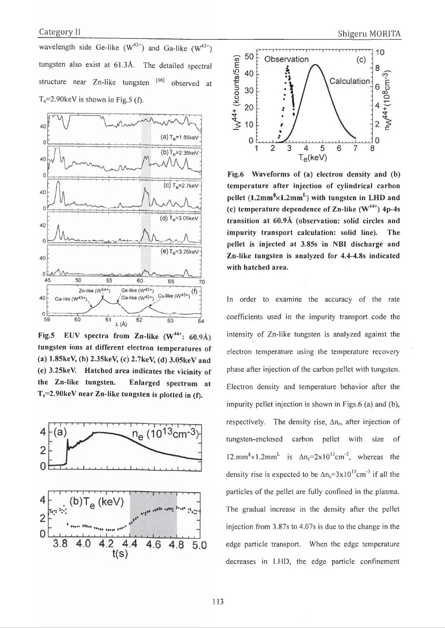wavelength side Ge-like  $(W^{42+})$  and Ga-like  $(W^{43+})$ tungsten also exist at 61.3A. The detailed spectral structure near Zn-like tungsten [16] observed at  $T_e=2.90 \text{keV}$  is shown in Fig.5 (f).



Fig.5 EUV spectra from Zn-like (W<sup>44+</sup>: 60.9Å) **tungsten ions at different electron temperatures of (a) 1.85keV, (b) 2.35keV, (c) 2.7keV, (d) 3.05keV and (e) 3.25keV. Hatched area indicates the vicinity of the Zn-like tungsten. Enlarged spectrum at Te=2.90keV near Zn-like tungsten is plotted in (f).**





**Fig.6 Waveforms of (a) electron density and (b) temperature after injection of cylindrical carbon** pellet  $(1.2mm^6 \times 1.2mm^L)$  with tungsten in LHD and (c) temperature dependence of  $\text{Zn-like}$  ( $\text{W}^{44+}$ ) 4p-4s **transition at** 60.9A **(observation: solid circles and impurity transport calculation: solid line). The pellet is injected at 3.85s in NBI discharge and Zn-like tungsten is analyzed for 4.4-4.8s indicated with hatched area.**

In order to examine the accuracy of the rate coefficients used in the impurity transport code the intensity of Zn-like tungsten is analyzed against the electron temperature using the temperature recovery phase after injection of the carbon pellet with tungsten. Electron density and temperature behavior after the impurity pellet injection is shown in Figs.6 (a) and (b), respectively. The density rise,  $\Delta n_c$ , after injection of tungsten-enclosed carbon pellet with size of  $12.mm^{\circ} \times 1.2mm^L$  is  $\Delta n_c = 2 \times 10^{13}$ cm<sup>-3</sup>, whereas the density rise is expected to be  $\Delta n_e = 3 \times 10^{13}$ cm<sup>-3</sup> if all the particles of the pellet are fully confined in the plasma. The gradual increase in the density after the pellet injection from 3.87s to 4.07s is due to the change in the edge particle transport. When the edge temperature decreases in LHD, the edge particle confinement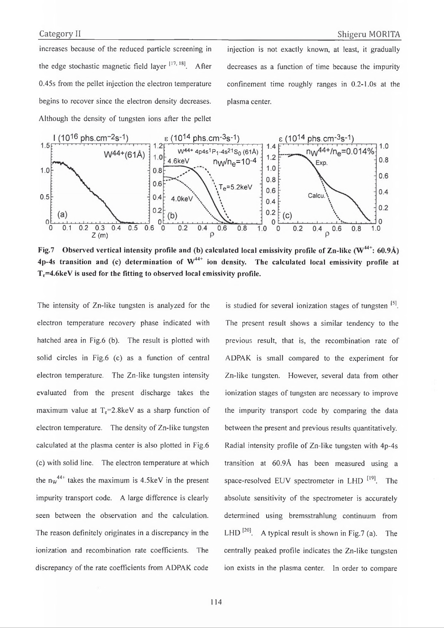increases because of the reduced particle screening in the edge stochastic magnetic field layer  $[17, 18]$ . After 0.45s from the pellet injection the electron temperature begins to recover since the electron density decreases. Although the density of tungsten ions after the pellet

injection is not exactly known, at least, it gradually decreases as a function of time because the impurity confinement time roughly ranges in 0.2-1.0s at the plasma center.



Fig.7 Observed vertical intensity profile and (b) calculated local emissivity profile of Zn-like ( $W^{4+}$ : 60.9Å)  $4p-4s$  transition and (c) determination of  $W^{4+}$  ion density. The calculated local emissivity profile at  $T_e$ =4.6keV is used for the fitting to observed local emissivity profile.

The intensity of Zn-like tungsten is analyzed for the electron temperature recovery phase indicated with hatched area in Fig.6 (b). The result is plotted with solid circles in Fig.6 (c) as a function of central electron temperature. The Zn-like tungsten intensity evaluated from the present discharge takes the maximum value at  $T_e=2.8$ keV as a sharp function of electron temperature. The density of Zn-like tungsten calculated at the plasma center is also plotted in Fig.6 (c) with solid line. The electron temperature at which the  $nw^{44+}$  takes the maximum is 4.5keV in the present impurity transport code. A large difference is clearly seen between the observation and the calculation. The reason definitely originates in a discrepancy in the ionization and recombination rate coefficients. The discrepancy of the rate coefficients from ADPAK code

is studied for several ionization stages of tungsten  $[5]$ . The present result shows a similar tendency to the previous result, that is, the recombination rate of a DPAK is small compared to the experiment for Zn-like tungsten. However, several data from other ionization stages of tungsten are necessary to improve the impurity transport code by comparing the data between the present and previous results quantitatively. Radial intensity profile of Zn-like tungsten with 4p-4s transition at 60.9A has been measured using a space-resolved EUV spectrometer in LHD  $^{[19]}$ . The absolute sensitivity of the spectrometer is accurately determined using bremsstrahlung continuum from LHD  $^{[20]}$ . A typical result is shown in Fig. 7 (a). The centrally peaked profile indicates the Zn-like tungsten ion exists in the plasma center. In order to compare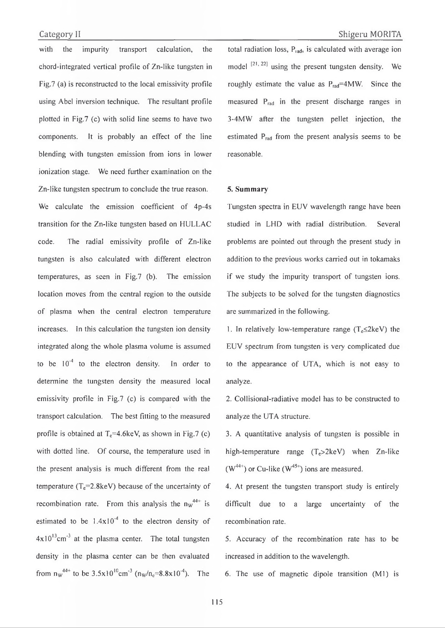with the impurity transport calculation, the chord-integrated vertical profile of Zn-like tungsten in Fig.7 (a) is reconstructed to the local emissivity profile using Abel inversion technique. The resultant profile plotted in Fig.7 (c) with solid line seems to have two components. It is probably an effect of the line blending with tungsten emission from ions in lower ionization stage. We need further examination on the Zn-like tungsten spectrum to conclude the true reason. We calculate the emission coefficient of 4p-4s transition for the Zn-like tungsten based on HULLAC code. The radial emissivity profile of Zn-like tungsten is also calculated with different electron temperatures, as seen in Fig.7 (b). The emission location moves from the central region to the outside of plasma when the central electron temperature increases. In this calculation the tungsten ion density integrated along the whole plasma volume is assumed to be  $10^{-4}$  to the electron density. In order to determine the tungsten density the measured local emissivity profile in Fig.7 (c) is compared with the transport calculation. The best fitting to the measured profile is obtained at  $T_c=4.6$ keV, as shown in Fig.7 (c) with dotted line. Of course, the temperature used in the present analysis is much different from the real temperature ( $T_e$ =2.8keV) because of the uncertainty of recombination rate. From this analysis the  $nw^{44+}$  is estimated to be  $1.4x10^{-4}$  to the electron density of  $4 \times 10^{13}$ cm<sup>-3</sup> at the plasma center. The total tungsten density in the plasma center can be then evaluated from  $n_w^{44+}$  to be  $3.5x10^{10}$ cm<sup>-3</sup> ( $n_w/n_e=8.8x10^{-4}$ ). The

total radiation loss,  $P_{rad}$ , is calculated with average ion model  $[21, 22]$  using the present tungsten density. We roughly estimate the value as  $P_{rad} = 4MW$ . Since the measured Prad in the present discharge ranges in 3-4MW after the tungsten pellet injection, the estimated P<sub>rad</sub> from the present analysis seems to be reasonable.

### 5. Summary

Tungsten spectra in EUV wavelength range have been studied in LHD with radial distribution. Several problems are pointed out through the present study in addition to the previous works carried out in tokamaks if we study the impurity transport of tungsten ions. The subjects to be solved for the tungsten diagnostics are summarized in the following.

1. In relatively low-temperature range  $(T_e \leq 2 \text{keV})$  the EUV spectrum from tungsten is very complicated due to the appearance of UTA, which is not easy to analyze.

2. Collisional-radiative model has to be constructed to analyze the UTA structure.

3. A quantitative analysis of tungsten is possible in high-temperature range  $(T_e > 2keV)$  when Zn-like  $(W^{44+})$  or Cu-like  $(W^{45+})$  ions are measured.

4. At present the tungsten transport study is entirely difficult due to a large uncertainty of the recombination rate.

5. Accuracy of the recombination rate has to be increased in addition to the wavelength.

6. The use of magnetic dipole transition  $(M1)$  is